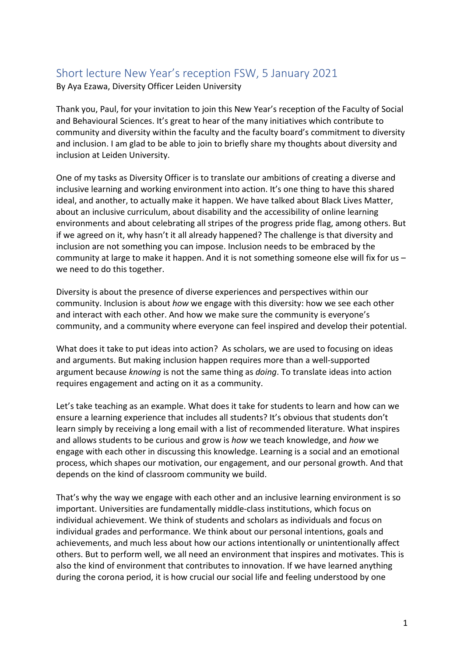## Short lecture New Year's reception FSW, 5 January 2021

By Aya Ezawa, Diversity Officer Leiden University

Thank you, Paul, for your invitation to join this New Year's reception of the Faculty of Social and Behavioural Sciences. It's great to hear of the many initiatives which contribute to community and diversity within the faculty and the faculty board's commitment to diversity and inclusion. I am glad to be able to join to briefly share my thoughts about diversity and inclusion at Leiden University.

One of my tasks as Diversity Officer is to translate our ambitions of creating a diverse and inclusive learning and working environment into action. It's one thing to have this shared ideal, and another, to actually make it happen. We have talked about Black Lives Matter, about an inclusive curriculum, about disability and the accessibility of online learning environments and about celebrating all stripes of the progress pride flag, among others. But if we agreed on it, why hasn't it all already happened? The challenge is that diversity and inclusion are not something you can impose. Inclusion needs to be embraced by the community at large to make it happen. And it is not something someone else will fix for us – we need to do this together.

Diversity is about the presence of diverse experiences and perspectives within our community. Inclusion is about *how* we engage with this diversity: how we see each other and interact with each other. And how we make sure the community is everyone's community, and a community where everyone can feel inspired and develop their potential.

What does it take to put ideas into action? As scholars, we are used to focusing on ideas and arguments. But making inclusion happen requires more than a well-supported argument because *knowing* is not the same thing as *doing*. To translate ideas into action requires engagement and acting on it as a community.

Let's take teaching as an example. What does it take for students to learn and how can we ensure a learning experience that includes all students? It's obvious that students don't learn simply by receiving a long email with a list of recommended literature. What inspires and allows students to be curious and grow is *how* we teach knowledge, and *how* we engage with each other in discussing this knowledge. Learning is a social and an emotional process, which shapes our motivation, our engagement, and our personal growth. And that depends on the kind of classroom community we build.

That's why the way we engage with each other and an inclusive learning environment is so important. Universities are fundamentally middle-class institutions, which focus on individual achievement. We think of students and scholars as individuals and focus on individual grades and performance. We think about our personal intentions, goals and achievements, and much less about how our actions intentionally or unintentionally affect others. But to perform well, we all need an environment that inspires and motivates. This is also the kind of environment that contributes to innovation. If we have learned anything during the corona period, it is how crucial our social life and feeling understood by one